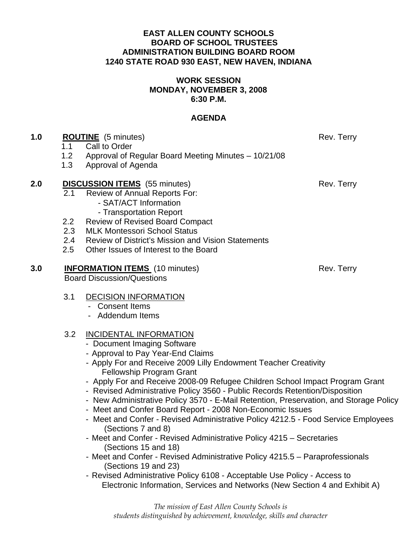#### **EAST ALLEN COUNTY SCHOOLS BOARD OF SCHOOL TRUSTEES ADMINISTRATION BUILDING BOARD ROOM 1240 STATE ROAD 930 EAST, NEW HAVEN, INDIANA**

#### **WORK SESSION MONDAY, NOVEMBER 3, 2008 6:30 P.M.**

# **AGENDA**

## **1.0 ROUTINE** (5 minutes) Rev. Terry

- 1.1Call to Order
- 1.2 Approval of Regular Board Meeting Minutes 10/21/08
- 1.3 Approval of Agenda

## **2.0 DISCUSSION ITEMS** (55 minutes) Rev. Terry

- 2.1 Review of Annual Reports For:
	- SAT/ACT Information
	- Transportation Report
- 2.2 Review of Revised Board Compact
- 2.3 MLK Montessori School Status
- 2.4 Review of District's Mission and Vision Statements
- 2.5 Other Issues of Interest to the Board

# **3.0 INFORMATION ITEMS** (10 minutes) Rev. Terry

Board Discussion/Questions

## 3.1 DECISION INFORMATION

- Consent Items
- Addendum Items

## 3.2 INCIDENTAL INFORMATION

- Document Imaging Software
- Approval to Pay Year-End Claims
- Apply For and Receive 2009 Lilly Endowment Teacher Creativity Fellowship Program Grant
- Apply For and Receive 2008-09 Refugee Children School Impact Program Grant
- Revised Administrative Policy 3560 Public Records Retention/Disposition
- New Administrative Policy 3570 E-Mail Retention, Preservation, and Storage Policy
- Meet and Confer Board Report 2008 Non-Economic Issues
- Meet and Confer Revised Administrative Policy 4212.5 Food Service Employees (Sections 7 and 8)
- Meet and Confer Revised Administrative Policy 4215 Secretaries (Sections 15 and 18)
- Meet and Confer Revised Administrative Policy 4215.5 Paraprofessionals (Sections 19 and 23)
- Revised Administrative Policy 6108 Acceptable Use Policy Access to Electronic Information, Services and Networks (New Section 4 and Exhibit A)